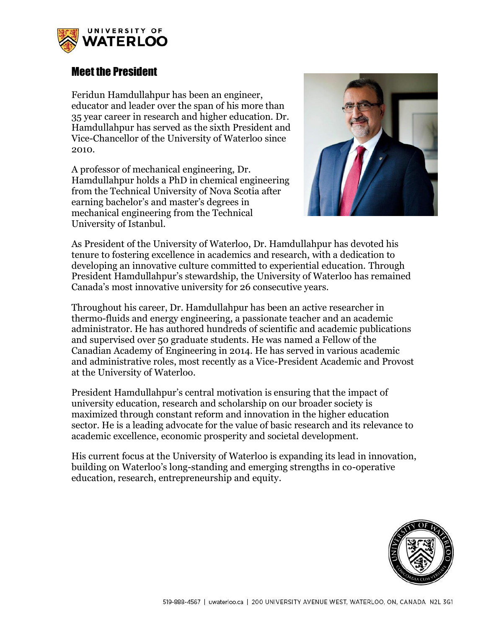

## Meet the President

Feridun Hamdullahpur has been an engineer, educator and leader over the span of his more than 35 year career in research and higher education. Dr. Hamdullahpur has served as the sixth President and Vice-Chancellor of the University of Waterloo since 2010.

A professor of mechanical engineering, Dr. Hamdullahpur holds a PhD in chemical engineering from the Technical University of Nova Scotia after earning bachelor's and master's degrees in mechanical engineering from the Technical University of Istanbul.



As President of the University of Waterloo, Dr. Hamdullahpur has devoted his tenure to fostering excellence in academics and research, with a dedication to developing an innovative culture committed to experiential education. Through President Hamdullahpur's stewardship, the University of Waterloo has remained Canada's most innovative university for 26 consecutive years.

Throughout his career, Dr. Hamdullahpur has been an active researcher in thermo-fluids and energy engineering, a passionate teacher and an academic administrator. He has authored hundreds of scientific and academic publications and supervised over 50 graduate students. He was named a Fellow of the Canadian Academy of Engineering in 2014. He has served in various academic and administrative roles, most recently as a Vice-President Academic and Provost at the University of Waterloo.

President Hamdullahpur's central motivation is ensuring that the impact of university education, research and scholarship on our broader society is maximized through constant reform and innovation in the higher education sector. He is a leading advocate for the value of basic research and its relevance to academic excellence, economic prosperity and societal development.

His current focus at the University of Waterloo is expanding its lead in innovation, building on Waterloo's long-standing and emerging strengths in co-operative education, research, entrepreneurship and equity.